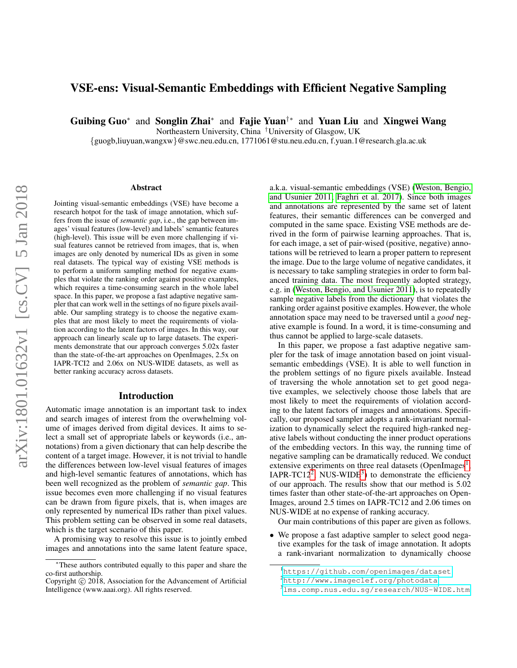# VSE-ens: Visual-Semantic Embeddings with Efficient Negative Sampling

Guibing Guo<sup>∗</sup> and Songlin Zhai<sup>∗</sup> and Fajie Yuan<sup>†</sup>\* and Yuan Liu and Xingwei Wang

Northeastern University, China †University of Glasgow, UK

{guogb,liuyuan,wangxw}@swc.neu.edu.cn, 1771061@stu.neu.edu.cn, f.yuan.1@research.gla.ac.uk

#### Abstract

Jointing visual-semantic embeddings (VSE) have become a research hotpot for the task of image annotation, which suffers from the issue of *semantic gap*, i.e., the gap between images' visual features (low-level) and labels' semantic features (high-level). This issue will be even more challenging if visual features cannot be retrieved from images, that is, when images are only denoted by numerical IDs as given in some real datasets. The typical way of existing VSE methods is to perform a uniform sampling method for negative examples that violate the ranking order against positive examples, which requires a time-consuming search in the whole label space. In this paper, we propose a fast adaptive negative sampler that can work well in the settings of no figure pixels available. Our sampling strategy is to choose the negative examples that are most likely to meet the requirements of violation according to the latent factors of images. In this way, our approach can linearly scale up to large datasets. The experiments demonstrate that our approach converges 5.02x faster than the state-of-the-art approaches on OpenImages, 2.5x on IAPR-TCI2 and 2.06x on NUS-WIDE datasets, as well as better ranking accuracy across datasets.

#### Introduction

Automatic image annotation is an important task to index and search images of interest from the overwhelming volume of images derived from digital devices. It aims to select a small set of appropriate labels or keywords (i.e., annotations) from a given dictionary that can help describe the content of a target image. However, it is not trivial to handle the differences between low-level visual features of images and high-level semantic features of annotations, which has been well recognized as the problem of *semantic gap*. This issue becomes even more challenging if no visual features can be drawn from figure pixels, that is, when images are only represented by numerical IDs rather than pixel values. This problem setting can be observed in some real datasets, which is the target scenario of this paper.

A promising way to resolve this issue is to jointly embed images and annotations into the same latent feature space, a.k.a. visual-semantic embeddings (VSE) [\(Weston, Bengio,](#page-7-0) [and Usunier 2011;](#page-7-0) [Faghri et al. 2017\)](#page-7-1). Since both images and annotations are represented by the same set of latent features, their semantic differences can be converged and computed in the same space. Existing VSE methods are derived in the form of pairwise learning approaches. That is, for each image, a set of pair-wised (positive, negative) annotations will be retrieved to learn a proper pattern to represent the image. Due to the large volume of negative candidates, it is necessary to take sampling strategies in order to form balanced training data. The most frequently adopted strategy, e.g. in [\(Weston, Bengio, and Usunier 2011\)](#page-7-0), is to repeatedly sample negative labels from the dictionary that violates the ranking order against positive examples. However, the whole annotation space may need to be traversed until a *good* negative example is found. In a word, it is time-consuming and thus cannot be applied to large-scale datasets.

In this paper, we propose a fast adaptive negative sampler for the task of image annotation based on joint visualsemantic embeddings (VSE). It is able to well function in the problem settings of no figure pixels available. Instead of traversing the whole annotation set to get good negative examples, we selectively choose those labels that are most likely to meet the requirements of violation according to the latent factors of images and annotations. Specifically, our proposed sampler adopts a rank-invariant normalization to dynamically select the required high-ranked negative labels without conducting the inner product operations of the embedding vectors. In this way, the running time of negative sampling can be dramatically reduced. We conduct extensive experiments on three real datasets (OpenImages<sup>[1](#page-0-0)</sup>, IAPR-TC1[2](#page-0-1)<sup>2</sup>, NUS-WIDE<sup>[3](#page-0-2)</sup>) to demonstrate the efficiency of our approach. The results show that our method is 5.02 times faster than other state-of-the-art approaches on Open-Images, around 2.5 times on IAPR-TC12 and 2.06 times on NUS-WIDE at no expense of ranking accuracy.

Our main contributions of this paper are given as follows.

• We propose a fast adaptive sampler to select good negative examples for the task of image annotation. It adopts a rank-invariant normalization to dynamically choose

<sup>∗</sup>These authors contributed equally to this paper and share the co-first authorship.

Copyright  $\odot$  2018, Association for the Advancement of Artificial Intelligence (www.aaai.org). All rights reserved.

<span id="page-0-0"></span><sup>1</sup><https://github.com/openimages/dataset>

<span id="page-0-1"></span><sup>2</sup><http://www.imageclef.org/photodata>

<span id="page-0-2"></span><sup>3</sup><lms.comp.nus.edu.sg/research/NUS-WIDE.htm>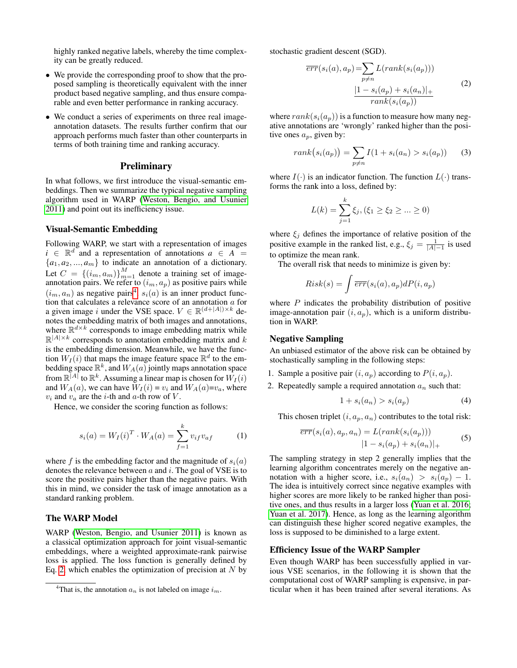highly ranked negative labels, whereby the time complexity can be greatly reduced.

- We provide the corresponding proof to show that the proposed sampling is theoretically equivalent with the inner product based negative sampling, and thus ensure comparable and even better performance in ranking accuracy.
- We conduct a series of experiments on three real imageannotation datasets. The results further confirm that our approach performs much faster than other counterparts in terms of both training time and ranking accuracy.

### **Preliminary**

In what follows, we first introduce the visual-semantic embeddings. Then we summarize the typical negative sampling algorithm used in WARP [\(Weston, Bengio, and Usunier](#page-7-0) [2011\)](#page-7-0) and point out its inefficiency issue.

#### Visual-Semantic Embedding

Following WARP, we start with a representation of images  $i \in \mathbb{R}^d$  and a representation of annotations  $a \in A$  =  ${a_1, a_2, ..., a_m}$  to indicate an annotation of a dictionary. Let  $C = \{(i_m, a_m)\}_{m=1}^M$  denote a training set of imageannotation pairs. We refer to  $(i_m, a_p)$  as positive pairs while  $(i_m, a_n)$  as negative pairs<sup>[4](#page-1-0)</sup>.  $s_i(a)$  is an inner product function that calculates a relevance score of an annotation a for a given image i under the VSE space.  $V \in \mathbb{R}^{(d+|A|) \times k}$  denotes the embedding matrix of both images and annotations, where  $\mathbb{R}^{d \times k}$  corresponds to image embedding matrix while  $\mathbb{R}^{|A| \times k}$  corresponds to annotation embedding matrix and k is the embedding dimension. Meanwhile, we have the function  $W_I(i)$  that maps the image feature space  $\mathbb{R}^d$  to the embedding space  $\mathbb{R}^k$ , and  $W_A(a)$  jointly maps annotation space from  $\mathbb{R}^{\overline{|A|}}$  to  $\mathbb{R}^k$ . Assuming a linear map is chosen for  $W_I(i)$ and  $W_A(a)$ , we can have  $W_I(i) = v_i$  and  $W_A(a)=v_a$ , where  $v_i$  and  $v_a$  are the *i*-th and  $a$ -th row of  $V$ .

Hence, we consider the scoring function as follows:

<span id="page-1-3"></span>
$$
s_i(a) = W_I(i)^T \cdot W_A(a) = \sum_{f=1}^k v_{if} v_{af} \tag{1}
$$

where f is the embedding factor and the magnitude of  $s_i(a)$ denotes the relevance between  $a$  and  $i$ . The goal of VSE is to score the positive pairs higher than the negative pairs. With this in mind, we consider the task of image annotation as a standard ranking problem.

# The WARP Model

WARP [\(Weston, Bengio, and Usunier 2011\)](#page-7-0) is known as a classical optimization approach for joint visual-semantic embeddings, where a weighted approximate-rank pairwise loss is applied. The loss function is generally defined by Eq. [2,](#page-1-1) which enables the optimization of precision at  $N$  by

<span id="page-1-1"></span>stochastic gradient descent (SGD).

$$
\overline{err}(s_i(a), a_p) = \sum_{p \neq n} L(rank(s_i(a_p)))
$$
\n
$$
\frac{|1 - s_i(a_p) + s_i(a_n)|}{rank(s_i(a_p))}
$$
\n(2)

where  $rank(s_i(a_p))$  is a function to measure how many negative annotations are 'wrongly' ranked higher than the positive ones  $a_p$ , given by:

<span id="page-1-4"></span>
$$
rank(s_i(a_p)) = \sum_{p \neq n} I(1 + s_i(a_n) > s_i(a_p))
$$
 (3)

where  $I(\cdot)$  is an indicator function. The function  $L(\cdot)$  transforms the rank into a loss, defined by:

$$
L(k) = \sum_{j=1}^{k} \xi_j, (\xi_1 \ge \xi_2 \ge ... \ge 0)
$$

where  $\xi_j$  defines the importance of relative position of the positive example in the ranked list, e.g.,  $\xi_j = \frac{1}{|A|-1}$  is used to optimize the mean rank.

The overall risk that needs to minimize is given by:

$$
Risk(s) = \int \overline{err}(s_i(a), a_p) dP(i, a_p)
$$

where  $P$  indicates the probability distribution of positive image-annotation pair  $(i, a_p)$ , which is a uniform distribution in WARP.

### Negative Sampling

An unbiased estimator of the above risk can be obtained by stochastically sampling in the following steps:

- 1. Sample a positive pair  $(i, a_p)$  according to  $P(i, a_p)$ .
- 2. Repeatedly sample a required annotation  $a_n$  such that:

<span id="page-1-2"></span>
$$
1 + si(an) > si(ap)
$$
 (4)

This chosen triplet  $(i, a_p, a_n)$  contributes to the total risk:

$$
\overline{err}(s_i(a), a_p, a_n) = L(rank(s_i(a_p)))
$$
  

$$
|1 - s_i(a_p) + s_i(a_n)|_+
$$
 (5)

The sampling strategy in step 2 generally implies that the learning algorithm concentrates merely on the negative annotation with a higher score, i.e.,  $s_i(a_n) > s_i(a_p) - 1$ . The idea is intuitively correct since negative examples with higher scores are more likely to be ranked higher than positive ones, and thus results in a larger loss [\(Yuan et al. 2016;](#page-7-2) [Yuan et al. 2017\)](#page-7-3). Hence, as long as the learning algorithm can distinguish these higher scored negative examples, the loss is supposed to be diminished to a large extent.

### Efficiency Issue of the WARP Sampler

Even though WARP has been successfully applied in various VSE scenarios, in the following it is shown that the computational cost of WARP sampling is expensive, in particular when it has been trained after several iterations. As

<span id="page-1-0"></span><sup>&</sup>lt;sup>4</sup>That is, the annotation  $a_n$  is not labeled on image  $i_m$ .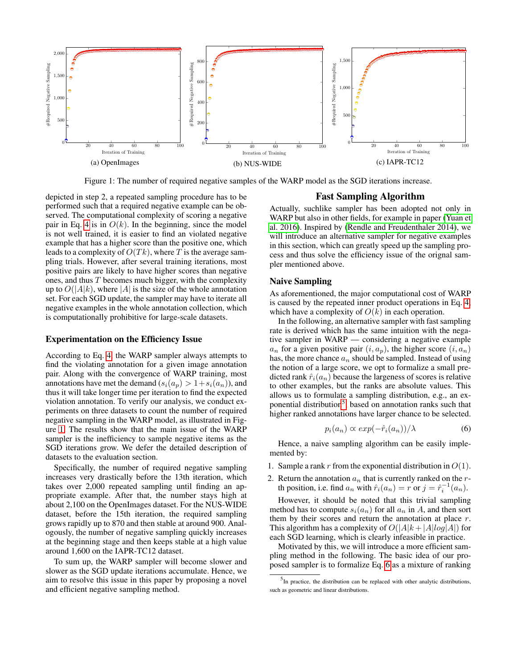<span id="page-2-0"></span>

Figure 1: The number of required negative samples of the WARP model as the SGD iterations increase.

depicted in step 2, a repeated sampling procedure has to be performed such that a required negative example can be observed. The computational complexity of scoring a negative pair in Eq. [4](#page-1-2) is in  $O(k)$ . In the beginning, since the model is not well trained, it is easier to find an violated negative example that has a higher score than the positive one, which leads to a complexity of  $O(Tk)$ , where T is the average sampling trials. However, after several training iterations, most positive pairs are likely to have higher scores than negative ones, and thus  $T$  becomes much bigger, with the complexity up to  $O(|A|k)$ , where |A| is the size of the whole annotation set. For each SGD update, the sampler may have to iterate all negative examples in the whole annotation collection, which is computationally prohibitive for large-scale datasets.

#### Experimentation on the Efficiency Issue

violation annotation. To verify our analysis, we conduct ex-According to Eq. [4,](#page-1-2) the WARP sampler always attempts to find the violating annotation for a given image annotation pair. Along with the convergence of WARP training, most annotations have met the demand  $(s_i(a_p) > 1 + s_i(a_n))$ , and thus it will take longer time per iteration to find the expected periments on three datasets to count the number of required negative sampling in the WARP model, as illustrated in Figure [1.](#page-2-0) The results show that the main issue of the WARP sampler is the inefficiency to sample negative items as the SGD iterations grow. We defer the detailed description of datasets to the evaluation section.

Specifically, the number of required negative sampling increases very drastically before the 13th iteration, which takes over 2,000 repeated sampling until finding an appropriate example. After that, the number stays high at about 2,100 on the OpenImages dataset. For the NUS-WIDE dataset, before the 15th iteration, the required sampling grows rapidly up to 870 and then stable at around 900. Analogously, the number of negative sampling quickly increases at the beginning stage and then keeps stable at a high value around 1,600 on the IAPR-TC12 dataset.

To sum up, the WARP sampler will become slower and slower as the SGD update iterations accumulate. Hence, we aim to resolve this issue in this paper by proposing a novel and efficient negative sampling method.

## Fast Sampling Algorithm

Actually, suchlike sampler has been adopted not only in WARP but also in other fields, for example in paper [\(Yuan et](#page-7-2) [al. 2016\)](#page-7-2). Inspired by [\(Rendle and Freudenthaler 2014\)](#page-7-4), we will introduce an alternative sampler for negative examples in this section, which can greatly speed up the sampling process and thus solve the efficiency issue of the orignal sampler mentioned above.

### Naive Sampling

As aforementioned, the major computational cost of WARP is caused by the repeated inner product operations in Eq. [4,](#page-1-2) which have a complexity of  $O(k)$  in each operation.

1 higher ranked annotations have larger chance to be selected. ponential distribution<sup>[5](#page-2-1)</sup>, based on annotation ranks such that In the following, an alternative sampler with fast sampling rate is derived which has the same intuition with the negative sampler in WARP — considering a negative example  $a_n$  for a given positive pair  $(i, a_n)$ , the higher score  $(i, a_n)$ has, the more chance  $a_n$  should be sampled. Instead of using the notion of a large score, we opt to formalize a small predicted rank  $\hat{r}_i(a_n)$  because the largeness of scores is relative to other examples, but the ranks are absolute values. This allows us to formulate a sampling distribution, e.g., an ex-

<span id="page-2-2"></span>
$$
p_i(a_n) \propto exp(-\hat{r}_i(a_n)) / \lambda \tag{6}
$$

Hence, a naive sampling algorithm can be easily implemented by:

- 1. Sample a rank r from the exponential distribution in  $O(1)$ .
- 2. Return the annotation  $a_n$  that is currently ranked on the rth position, i.e. find  $a_n$  with  $\hat{r}_i(a_n) = r$  or  $j = \hat{r}_i^{-1}(a_n)$ .

However, it should be noted that this trivial sampling method has to compute  $s_i(a_n)$  for all  $a_n$  in A, and then sort them by their scores and return the annotation at place  $r$ . This algorithm has a complexity of  $O(|A|k + |A|log|A|)$  for each SGD learning, which is clearly infeasible in practice.

Motivated by this, we will introduce a more efficient sampling method in the following. The basic idea of our proposed sampler is to formalize Eq. [6](#page-2-2) as a mixture of ranking

<span id="page-2-1"></span> $<sup>5</sup>$  In practice, the distribution can be replaced with other analytic distributions,</sup> such as geometric and linear distributions.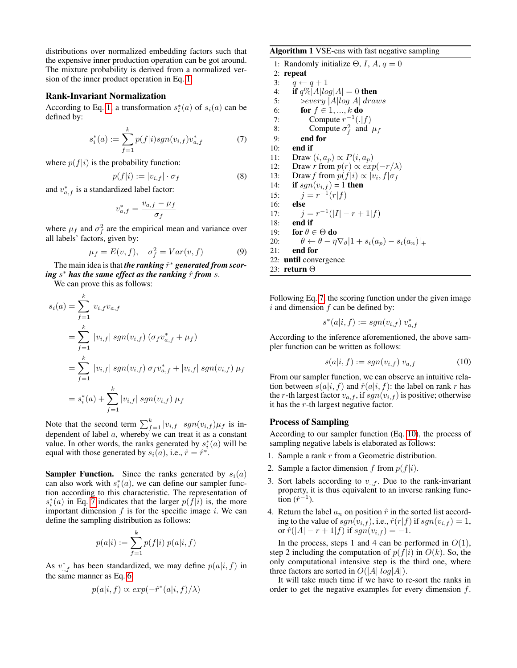distributions over normalized embedding factors such that the expensive inner production operation can be got around. The mixture probability is derived from a normalized version of the inner product operation in Eq. [1.](#page-1-3)

#### Rank-Invariant Normalization

According to Eq. [1,](#page-1-3) a transformation  $s_i^*(a)$  of  $s_i(a)$  can be defined by:

<span id="page-3-0"></span>
$$
s_i^*(a) := \sum_{f=1}^k p(f|i) sgn(v_{i,f}) v_{a,f}^* \tag{7}
$$

where  $p(f|i)$  is the probability function:

$$
p(f|i) := |v_{i,f}| \cdot \sigma_f \tag{8}
$$

and  $v_{a,f}^*$  is a standardized label factor:

$$
v_{a,f}^* = \frac{v_{a,f} - \mu_f}{\sigma_f}
$$

where  $\mu_f$  and  $\sigma_f^2$  are the empirical mean and variance over all labels' factors, given by:

$$
\mu_f = E(v, f), \quad \sigma_f^2 = Var(v, f) \tag{9}
$$

The main idea is that *the ranking*  $\hat{r}^*$  *generated from scoring s*\* has the same effect as the ranking  $\hat{r}$  from  $s$ .

We can prove this as follows:

$$
s_i(a) = \sum_{f=1}^k v_{i,f} v_{a,f}
$$
  
= 
$$
\sum_{f=1}^k |v_{i,f}| sgn(v_{i,f}) (\sigma_f v_{a,f}^* + \mu_f)
$$
  
= 
$$
\sum_{f=1}^k |v_{i,f}| sgn(v_{i,f}) \sigma_f v_{a,f}^* + |v_{i,f}| sgn(v_{i,f}) \mu_f
$$
  
= 
$$
s_i^*(a) + \sum_{f=1}^k |v_{i,f}| sgn(v_{i,f}) \mu_f
$$

Note that the second term  $\sum_{f=1}^{k} |v_{i,f}|$  sgn $(v_{i,f})\mu_f$  is independent of label  $a$ , whereby we can treat it as a constant value. In other words, the ranks generated by  $s_i^*(a)$  will be equal with those generated by  $s_i(a)$ , i.e.,  $\hat{r} = \hat{r}^*$ .

**Sampler Function.** Since the ranks generated by  $s_i(a)$ can also work with  $s_i^*(a)$ , we can define our sampler function according to this characteristic. The representation of  $s_i^*(a)$  in Eq. [7](#page-3-0) indicates that the larger  $p(f|i)$  is, the more important dimension  $f$  is for the specific image  $i$ . We can define the sampling distribution as follows:

$$
p(a|i) := \sum_{f=1}^{k} p(f|i) \ p(a|i, f)
$$

As  $v_{,f}^*$  has been standardized, we may define  $p(a|i, f)$  in the same manner as Eq. [6:](#page-2-2)

$$
p(a|i, f) \propto exp(-\hat{r}^*(a|i, f)/\lambda)
$$

### <span id="page-3-2"></span>Algorithm 1 VSE-ens with fast negative sampling

1: Randomly initialize  $\Theta$ , *I*, *A*,  $q = 0$ 2: repeat 3:  $q \leftarrow q + 1$ 4: if  $q\%|A|log|A| = 0$  then 5:  $\int$   $\triangleright$   $\text{every } |A| \log |A| \text{ draws}$ 6: **for**  $f \in 1, ..., k$  **do** 7: Compute  $r^{-1}(.|f)$ 8: Compute  $\sigma_f^2$  and  $\mu_f$ 9: end for 10: end if 11: Draw  $(i, a_p) \propto P(i, a_p)$ 12: Draw *r* from  $p(r) \propto exp(-r/\lambda)$ 13: Draw *f* from  $p(f|i) \propto |v_i, f| \sigma_f$ 14: **if**  $sgn(v_{i,f}) = 1$  **then** 15:  $j = r^{-1}(r|f)$ 16: else 17:  $j = r^{-1}(|I| - r + 1|f)$ 18: end if 19: for  $\theta \in \Theta$  do 20:  $\theta \leftarrow \theta - \eta \nabla_{\theta} |1 + s_i(a_p) - s_i(a_n)|_+$ 21: end for 22: until convergence 23: return Θ

Following Eq. [7,](#page-3-0) the scoring function under the given image  $i$  and dimension  $f$  can be defined by:

$$
s^*(a|i, f) := sgn(v_{i,f}) v_{a,f}^*
$$

According to the inference aforementioned, the above sampler function can be written as follows:

<span id="page-3-1"></span>
$$
s(a|i, f) := sgn(v_{i,f}) v_{a,f} \tag{10}
$$

From our sampler function, we can observe an intuitive relation between  $s(a|i, f)$  and  $\hat{r}(a|i, f)$ : the label on rank r has the r-th largest factor  $v_{a,f}$ , if  $sgn(v_{i,f})$  is positive; otherwise it has the r-th largest negative factor.

#### Process of Sampling

According to our sampler function (Eq. [10\)](#page-3-1), the process of sampling negative labels is elaborated as follows:

- 1. Sample a rank  $r$  from a Geometric distribution.
- 2. Sample a factor dimension f from  $p(f|i)$ .
- 3. Sort labels according to  $v_{.,f}$ . Due to the rank-invariant property, it is thus equivalent to an inverse ranking func- $\overline{\text{tion}}\,(\hat{r}^{-1}).$
- 4. Return the label  $a_n$  on position  $\hat{r}$  in the sorted list according to the value of  $sgn(v_{i,f})$ , i.e.,  $\hat{r}(r|f)$  if  $sgn(v_{i,f}) = 1$ , or  $\hat{r}(|A| - r + 1|f)$  if  $sgn(v_{i,f}) = -1$ .

In the process, steps 1 and 4 can be performed in  $O(1)$ , step 2 including the computation of  $p(f|i)$  in  $O(k)$ . So, the only computational intensive step is the third one, where three factors are sorted in  $O(|A| \log |A|)$ .

It will take much time if we have to re-sort the ranks in order to get the negative examples for every dimension  $f$ .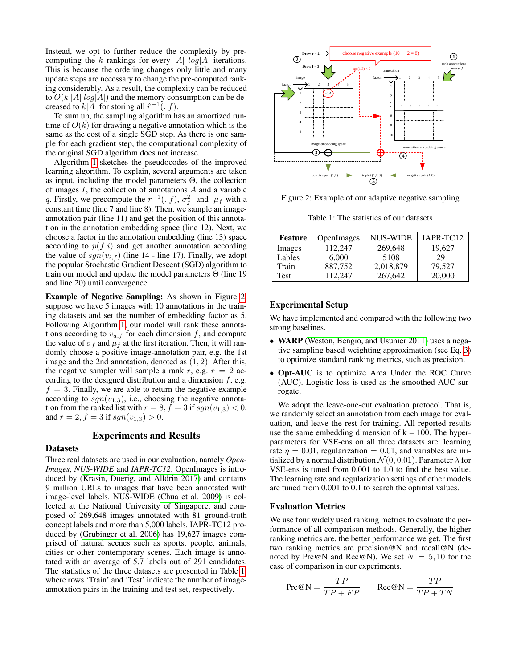Instead, we opt to further reduce the complexity by precomputing the k rankings for every |A|  $log|A|$  iterations. This is because the ordering changes only little and many update steps are necessary to change the pre-computed ranking considerably. As a result, the complexity can be reduced to  $O(k |A| log|A|)$  and the memory consumption can be decreased to  $k|A|$  for storing all  $\hat{r}^{-1}(.|f)$ .

To sum up, the sampling algorithm has an amortized runtime of  $O(k)$  for drawing a negative annotation which is the same as the cost of a single SGD step. As there is one sample for each gradient step, the computational complexity of the original SGD algorithm does not increase.

Algorithm [1](#page-3-2) sketches the pseudocodes of the improved learning algorithm. To explain, several arguments are taken as input, including the model parameters Θ, the collection of images  $I$ , the collection of annotations  $A$  and a variable q. Firstly, we precompute the  $r^{-1}(.|f)$ ,  $\sigma_f^2$  and  $\mu_f$  with a constant time (line 7 and line 8). Then, we sample an imageannotation pair (line 11) and get the position of this annotation in the annotation embedding space (line 12). Next, we choose a factor in the annotation embedding (line 13) space according to  $p(f|i)$  and get another annotation according the value of  $sgn(v_{i,f})$  (line 14 - line 17). Finally, we adopt the popular Stochastic Gradient Descent (SGD) algorithm to train our model and update the model parameters Θ (line 19 and line 20) until convergence.

Example of Negative Sampling: As shown in Figure [2,](#page-4-0) suppose we have 5 images with 10 annotations in the training datasets and set the number of embedding factor as 5. Following Algorithm [1,](#page-3-2) our model will rank these annotations according to  $v_{a,f}$  for each dimension f, and compute the value of  $\sigma_f$  and  $\mu_f$  at the first iteration. Then, it will randomly choose a positive image-annotation pair, e.g. the 1st image and the 2nd annotation, denoted as (1, 2). After this, the negative sampler will sample a rank r, e.g.  $r = 2$  according to the designed distribution and a dimension  $f$ , e.g.  $f = 3$ . Finally, we are able to return the negative example according to  $sgn(v_{1,3})$ , i.e., choosing the negative annotation from the ranked list with  $r = 8$ ,  $f = 3$  if  $sgn(v_{1,3}) < 0$ , and  $r = 2, f = 3$  if  $sgn(v_{1,3}) > 0$ .

# Experiments and Results

### **Datasets**

Three real datasets are used in our evaluation, namely *Open-Images*, *NUS-WIDE* and *IAPR-TC12*. OpenImages is introduced by [\(Krasin, Duerig, and Alldrin 2017\)](#page-7-5) and contains 9 million URLs to images that have been annotated with image-level labels. NUS-WIDE [\(Chua et al. 2009\)](#page-7-6) is collected at the National University of Singapore, and composed of 269,648 images annotated with 81 ground-truth concept labels and more than 5,000 labels. IAPR-TC12 produced by [\(Grubinger et al. 2006\)](#page-7-7) has 19,627 images comprised of natural scenes such as sports, people, animals, cities or other contemporary scenes. Each image is annotated with an average of 5.7 labels out of 291 candidates. The statistics of the three datasets are presented in Table [1,](#page-4-1) where rows 'Train' and 'Test' indicate the number of imageannotation pairs in the training and test set, respectively.

<span id="page-4-0"></span>

<span id="page-4-1"></span>Figure 2: Example of our adaptive negative sampling

Table 1: The statistics of our datasets

| <b>Feature</b> | <b>OpenImages</b> | NUS-WIDE  | IAPR-TC12 |
|----------------|-------------------|-----------|-----------|
| Images         | 112,247           | 269,648   | 19.627    |
| Lables         | 6,000             | 5108      | 291       |
| Train          | 887,752           | 2,018,879 | 79,527    |
| Test           | 112,247           | 267,642   | 20,000    |

# Experimental Setup

We have implemented and compared with the following two strong baselines.

- **WARP** [\(Weston, Bengio, and Usunier 2011\)](#page-7-0) uses a negative sampling based weighting approximation (see Eq. [3\)](#page-1-4) to optimize standard ranking metrics, such as precision.
- Opt-AUC is to optimize Area Under the ROC Curve (AUC). Logistic loss is used as the smoothed AUC surrogate.

We adopt the leave-one-out evaluation protocol. That is, we randomly select an annotation from each image for evaluation, and leave the rest for training. All reported results use the same embedding dimension of  $k = 100$ . The hyperparameters for VSE-ens on all three datasets are: learning rate  $\eta = 0.01$ , regularization = 0.01, and variables are initialized by a normal distribution  $\mathcal{N}(0, 0.01)$ . Parameter  $\lambda$  for VSE-ens is tuned from 0.001 to 1.0 to find the best value. The learning rate and regularization settings of other models are tuned from 0.001 to 0.1 to search the optimal values.

#### Evaluation Metrics

We use four widely used ranking metrics to evaluate the performance of all comparison methods. Generally, the higher ranking metrics are, the better performance we get. The first two ranking metrics are precision@N and recall@N (denoted by Pre@N and Rec@N). We set  $N = 5, 10$  for the ease of comparison in our experiments.

$$
Pre@N = \frac{TP}{TP + FP}
$$
 
$$
Rec@N = \frac{TP}{TP + TN}
$$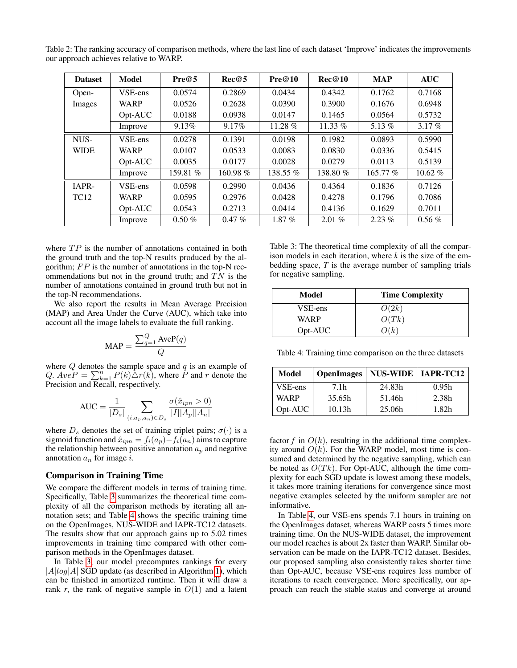<span id="page-5-2"></span>Table 2: The ranking accuracy of comparison methods, where the last line of each dataset 'Improve' indicates the improvements our approach achieves relative to WARP.

| <b>Dataset</b> | <b>Model</b> | Pre@5    | Rec@5      | Pre@10   | Rec@10   | <b>MAP</b> | <b>AUC</b> |
|----------------|--------------|----------|------------|----------|----------|------------|------------|
| Open-          | VSE-ens      | 0.0574   | 0.2869     | 0.0434   | 0.4342   | 0.1762     | 0.7168     |
| Images         | <b>WARP</b>  | 0.0526   | 0.2628     | 0.0390   | 0.3900   | 0.1676     | 0.6948     |
|                | Opt-AUC      | 0.0188   | 0.0938     | 0.0147   | 0.1465   | 0.0564     | 0.5732     |
|                | Improve      | 9.13%    | 9.17%      | 11.28 %  | 11.33 %  | 5.13 $%$   | $3.17\%$   |
| NUS-           | VSE-ens      | 0.0278   | 0.1391     | 0.0198   | 0.1982   | 0.0893     | 0.5990     |
| <b>WIDE</b>    | <b>WARP</b>  | 0.0107   | 0.0533     | 0.0083   | 0.0830   | 0.0336     | 0.5415     |
|                | Opt-AUC      | 0.0035   | 0.0177     | 0.0028   | 0.0279   | 0.0113     | 0.5139     |
|                | Improve      | 159.81 % | 160.98 $%$ | 138.55 % | 138.80%  | 165.77 %   | $10.62\%$  |
| IAPR-          | VSE-ens      | 0.0598   | 0.2990     | 0.0436   | 0.4364   | 0.1836     | 0.7126     |
| <b>TC12</b>    | <b>WARP</b>  | 0.0595   | 0.2976     | 0.0428   | 0.4278   | 0.1796     | 0.7086     |
|                | Opt-AUC      | 0.0543   | 0.2713     | 0.0414   | 0.4136   | 0.1629     | 0.7011     |
|                | Improve      | $0.50\%$ | $0.47\%$   | $1.87\%$ | $2.01\%$ | $2.23\%$   | $0.56\%$   |

where  $TP$  is the number of annotations contained in both the ground truth and the top-N results produced by the algorithm;  $FP$  is the number of annotations in the top-N recommendations but not in the ground truth; and  $TN$  is the number of annotations contained in ground truth but not in the top-N recommendations.

We also report the results in Mean Average Precision (MAP) and Area Under the Curve (AUC), which take into account all the image labels to evaluate the full ranking.

$$
MAP = \frac{\sum_{q=1}^{Q} AveP(q)}{Q}
$$

where  $Q$  denotes the sample space and  $q$  is an example of Q.  $AveP = \sum_{k=1}^{n} P(k) \Delta r(k)$ , where  $\overrightarrow{P}$  and r denote the Precision and Recall, respectively.

$$
\text{AUC} = \frac{1}{|D_s|} \sum_{(i,a_p,a_n) \in D_s} \frac{\sigma(\hat{x}_{ipn} > 0)}{|I| |A_p||A_n|}
$$

where  $D_s$  denotes the set of training triplet pairs;  $\sigma(\cdot)$  is a sigmoid function and  $\hat{x}_{ipn} = f_i(a_p) - f_i(a_n)$  aims to capture the relationship between positive annotation  $a_p$  and negative annotation  $a_n$  for image i.

#### Comparison in Training Time

We compare the different models in terms of training time. Specifically, Table [3](#page-5-0) summarizes the theoretical time complexity of all the comparison methods by iterating all annotation sets; and Table [4](#page-5-1) shows the specific training time on the OpenImages, NUS-WIDE and IAPR-TC12 datasets. The results show that our approach gains up to 5.02 times improvements in training time compared with other comparison methods in the OpenImages dataset.

In Table [3,](#page-5-0) our model precomputes rankings for every  $|A|log|A|$  SGD update (as described in Algorithm [1\)](#page-3-2), which can be finished in amortized runtime. Then it will draw a rank  $r$ , the rank of negative sample in  $O(1)$  and a latent

<span id="page-5-0"></span>Table 3: The theoretical time complexity of all the comparison models in each iteration, where *k* is the size of the embedding space, *T* is the average number of sampling trials for negative sampling.

| Model   | <b>Time Complexity</b> |
|---------|------------------------|
| VSE-ens | O(2k)                  |
| WARP    | O(Tk)                  |
| Opt-AUC | O(k)                   |

<span id="page-5-1"></span>Table 4: Training time comparison on the three datasets

| Model       | <b>OpenImages</b> | NUS-WIDE   IAPR-TC12 |       |
|-------------|-------------------|----------------------|-------|
| VSE-ens     | 7.1 <sub>h</sub>  | 24.83h               | 0.95h |
| <b>WARP</b> | 35.65h            | 51.46h               | 2.38h |
| $Opt-AUC$   | 10.13h            | 25.06h               | 1.82h |

factor  $f$  in  $O(k)$ , resulting in the additional time complexity around  $O(k)$ . For the WARP model, most time is consumed and determined by the negative sampling, which can be noted as  $O(Tk)$ . For Opt-AUC, although the time complexity for each SGD update is lowest among these models, it takes more training iterations for convergence since most negative examples selected by the uniform sampler are not informative.

In Table [4,](#page-5-1) our VSE-ens spends 7.1 hours in training on the OpenImages dataset, whereas WARP costs 5 times more training time. On the NUS-WIDE dataset, the improvement our model reaches is about 2x faster than WARP. Similar observation can be made on the IAPR-TC12 dataset. Besides, our proposed sampling also consistently takes shorter time than Opt-AUC, because VSE-ens requires less number of iterations to reach convergence. More specifically, our approach can reach the stable status and converge at around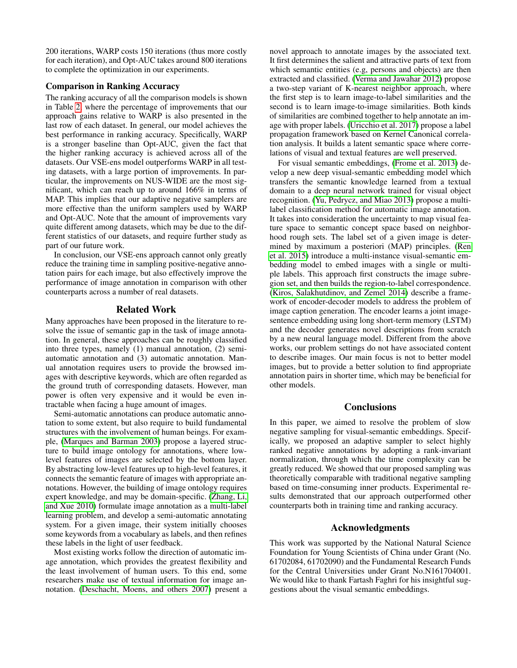200 iterations, WARP costs 150 iterations (thus more costly for each iteration), and Opt-AUC takes around 800 iterations to complete the optimization in our experiments.

# Comparison in Ranking Accuracy

The ranking accuracy of all the comparison models is shown in Table [2,](#page-5-2) where the percentage of improvements that our approach gains relative to WARP is also presented in the last row of each dataset. In general, our model achieves the best performance in ranking accuracy. Specifically, WARP is a stronger baseline than Opt-AUC, given the fact that the higher ranking accuracy is achieved across all of the datasets. Our VSE-ens model outperforms WARP in all testing datasets, with a large portion of improvements. In particular, the improvements on NUS-WIDE are the most significant, which can reach up to around 166% in terms of MAP. This implies that our adaptive negative samplers are more effective than the uniform samplers used by WARP and Opt-AUC. Note that the amount of improvements vary quite different among datasets, which may be due to the different statistics of our datasets, and require further study as part of our future work.

In conclusion, our VSE-ens approach cannot only greatly reduce the training time in sampling positive-negative annotation pairs for each image, but also effectively improve the performance of image annotation in comparison with other counterparts across a number of real datasets.

# Related Work

Many approaches have been proposed in the literature to resolve the issue of semantic gap in the task of image annotation. In general, these approaches can be roughly classified into three types, namely (1) manual annotation, (2) semiautomatic annotation and (3) automatic annotation. Manual annotation requires users to provide the browsed images with descriptive keywords, which are often regarded as the ground truth of corresponding datasets. However, man power is often very expensive and it would be even intractable when facing a huge amount of images.

Semi-automatic annotations can produce automatic annotation to some extent, but also require to build fundamental structures with the involvement of human beings. For example, [\(Marques and Barman 2003\)](#page-7-8) propose a layered structure to build image ontology for annotations, where lowlevel features of images are selected by the bottom layer. By abstracting low-level features up to high-level features, it connects the semantic feature of images with appropriate annotations. However, the building of image ontology requires expert knowledge, and may be domain-specific. [\(Zhang, Li,](#page-7-9) [and Xue 2010\)](#page-7-9) formulate image annotation as a multi-label learning problem, and develop a semi-automatic annotating system. For a given image, their system initially chooses some keywords from a vocabulary as labels, and then refines these labels in the light of user feedback.

Most existing works follow the direction of automatic image annotation, which provides the greatest flexibility and the least involvement of human users. To this end, some researchers make use of textual information for image annotation. [\(Deschacht, Moens, and others 2007\)](#page-7-10) present a

novel approach to annotate images by the associated text. It first determines the salient and attractive parts of text from which semantic entities (e.g, persons and objects) are then extracted and classified. [\(Verma and Jawahar 2012\)](#page-7-11) propose a two-step variant of K-nearest neighbor approach, where the first step is to learn image-to-label similarities and the second is to learn image-to-image similarities. Both kinds of similarities are combined together to help annotate an image with proper labels. [\(Uricchio et al. 2017\)](#page-7-12) propose a label propagation framework based on Kernel Canonical correlation analysis. It builds a latent semantic space where correlations of visual and textual features are well preserved.

For visual semantic embeddings, [\(Frome et al. 2013\)](#page-7-13) develop a new deep visual-semantic embedding model which transfers the semantic knowledge learned from a textual domain to a deep neural network trained for visual object recognition. [\(Yu, Pedrycz, and Miao 2013\)](#page-7-14) propose a multilabel classification method for automatic image annotation. It takes into consideration the uncertainty to map visual feature space to semantic concept space based on neighborhood rough sets. The label set of a given image is determined by maximum a posteriori (MAP) principles. [\(Ren](#page-7-15) [et al. 2015\)](#page-7-15) introduce a multi-instance visual-semantic embedding model to embed images with a single or multiple labels. This approach first constructs the image subregion set, and then builds the region-to-label correspondence. [\(Kiros, Salakhutdinov, and Zemel 2014\)](#page-7-16) describe a framework of encoder-decoder models to address the problem of image caption generation. The encoder learns a joint imagesentence embedding using long short-term memory (LSTM) and the decoder generates novel descriptions from scratch by a new neural language model. Different from the above works, our problem settings do not have associated content to describe images. Our main focus is not to better model images, but to provide a better solution to find appropriate annotation pairs in shorter time, which may be beneficial for other models.

# **Conclusions**

In this paper, we aimed to resolve the problem of slow negative sampling for visual-semantic embeddings. Specifically, we proposed an adaptive sampler to select highly ranked negative annotations by adopting a rank-invariant normalization, through which the time complexity can be greatly reduced. We showed that our proposed sampling was theoretically comparable with traditional negative sampling based on time-consuming inner products. Experimental results demonstrated that our approach outperformed other counterparts both in training time and ranking accuracy.

# Acknowledgments

This work was supported by the National Natural Science Foundation for Young Scientists of China under Grant (No. 61702084, 61702090) and the Fundamental Research Funds for the Central Universities under Grant No.N161704001. We would like to thank Fartash Faghri for his insightful suggestions about the visual semantic embeddings.